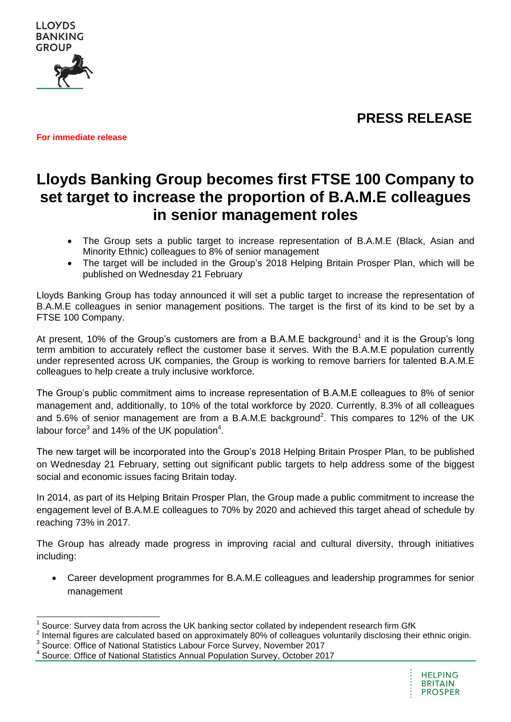**PRESS RELEASE**



**For immediate release** 

# **Lloyds Banking Group becomes first FTSE 100 Company to set target to increase the proportion of B.A.M.E colleagues in senior management roles**

- The Group sets a public target to increase representation of B.A.M.E (Black, Asian and Minority Ethnic) colleagues to 8% of senior management
- The target will be included in the Group's 2018 Helping Britain Prosper Plan, which will be published on Wednesday 21 February

Lloyds Banking Group has today announced it will set a public target to increase the representation of B.A.M.E colleagues in senior management positions. The target is the first of its kind to be set by a FTSE 100 Company.

At present, 10% of the Group's customers are from a B.A.M.E background<sup>1</sup> and it is the Group's long term ambition to accurately reflect the customer base it serves. With the B.A.M.E population currently under represented across UK companies, the Group is working to remove barriers for talented B.A.M.E colleagues to help create a truly inclusive workforce.

The Group's public commitment aims to increase representation of B.A.M.E colleagues to 8% of senior management and, additionally, to 10% of the total workforce by 2020. Currently, 8.3% of all colleagues and 5.6% of senior management are from a B.A.M.E background<sup>2</sup>. This compares to 12% of the UK labour force<sup>3</sup> and 14% of the UK population<sup>4</sup>.

The new target will be incorporated into the Group's 2018 Helping Britain Prosper Plan, to be published on Wednesday 21 February, setting out significant public targets to help address some of the biggest social and economic issues facing Britain today.

In 2014, as part of its Helping Britain Prosper Plan, the Group made a public commitment to increase the engagement level of B.A.M.E colleagues to 70% by 2020 and achieved this target ahead of schedule by reaching 73% in 2017.

The Group has already made progress in improving racial and cultural diversity, through initiatives including:

 Career development programmes for B.A.M.E colleagues and leadership programmes for senior management

 1 Source: Survey data from across the UK banking sector collated by independent research firm GfK

<sup>&</sup>lt;sup>2</sup> Internal figures are calculated based on approximately 80% of colleagues voluntarily disclosing their ethnic origin.

<sup>&</sup>lt;sup>3</sup> Source: Office of National Statistics Labour Force Survey, November 2017<br><sup>4</sup> Source: Office of National Statistics Appuel Pepulation Survey, October 20

Source: Office of National Statistics Annual Population Survey, October 2017